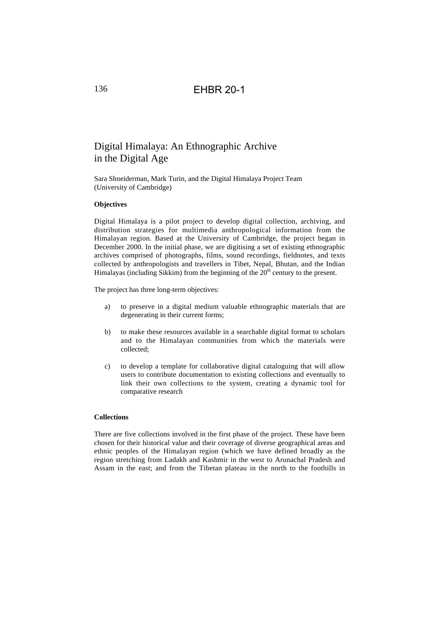### 136 EHBR 20-1

# Digital Himalaya: An Ethnographic Archive in the Digital Age

Sara Shneiderman, Mark Turin, and the Digital Himalaya Project Team (University of Cambridge)

#### **Objectives**

Digital Himalaya is a pilot project to develop digital collection, archiving, and distribution strategies for multimedia anthropological information from the Himalayan region. Based at the University of Cambridge, the project began in December 2000. In the initial phase, we are digitising a set of existing ethnographic archives comprised of photographs, films, sound recordings, fieldnotes, and texts collected by anthropologists and travellers in Tibet, Nepal, Bhutan, and the Indian Himalayas (including Sikkim) from the beginning of the  $20<sup>th</sup>$  century to the present.

The project has three long-term objectives:

- a) to preserve in a digital medium valuable ethnographic materials that are degenerating in their current forms;
- b) to make these resources available in a searchable digital format to scholars and to the Himalayan communities from which the materials were collected;
- c) to develop a template for collaborative digital cataloguing that will allow users to contribute documentation to existing collections and eventually to link their own collections to the system, creating a dynamic tool for comparative research

### **Collections**

There are five collections involved in the first phase of the project. These have been chosen for their historical value and their coverage of diverse geographical areas and ethnic peoples of the Himalayan region (which we have defined broadly as the region stretching from Ladakh and Kashmir in the west to Arunachal Pradesh and Assam in the east; and from the Tibetan plateau in the north to the foothills in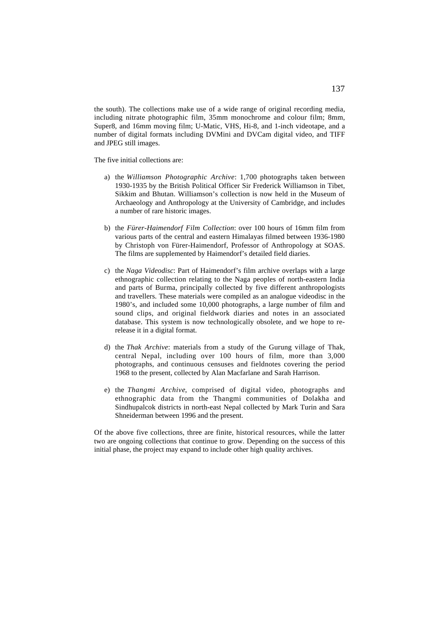the south). The collections make use of a wide range of original recording media, including nitrate photographic film, 35mm monochrome and colour film; 8mm, Super8, and 16mm moving film; U-Matic, VHS, Hi-8, and 1-inch videotape, and a number of digital formats including DVMini and DVCam digital video, and TIFF and JPEG still images.

The five initial collections are:

- a) the *Williamson Photographic Archive*: 1,700 photographs taken between 1930-1935 by the British Political Officer Sir Frederick Williamson in Tibet, Sikkim and Bhutan. Williamson's collection is now held in the Museum of Archaeology and Anthropology at the University of Cambridge, and includes a number of rare historic images.
- b) the *Fürer-Haimendorf Film Collection*: over 100 hours of 16mm film from various parts of the central and eastern Himalayas filmed between 1936-1980 by Christoph von Fürer-Haimendorf, Professor of Anthropology at SOAS. The films are supplemented by Haimendorf's detailed field diaries.
- c) the *Naga Videodisc*: Part of Haimendorf's film archive overlaps with a large ethnographic collection relating to the Naga peoples of north-eastern India and parts of Burma, principally collected by five different anthropologists and travellers. These materials were compiled as an analogue videodisc in the 1980's, and included some 10,000 photographs, a large number of film and sound clips, and original fieldwork diaries and notes in an associated database. This system is now technologically obsolete, and we hope to rerelease it in a digital format.
- d) the *Thak Archive*: materials from a study of the Gurung village of Thak, central Nepal, including over 100 hours of film, more than 3,000 photographs, and continuous censuses and fieldnotes covering the period 1968 to the present, collected by Alan Macfarlane and Sarah Harrison.
- e) the *Thangmi Archive*, comprised of digital video, photographs and ethnographic data from the Thangmi communities of Dolakha and Sindhupalcok districts in north-east Nepal collected by Mark Turin and Sara Shneiderman between 1996 and the present.

Of the above five collections, three are finite, historical resources, while the latter two are ongoing collections that continue to grow. Depending on the success of this initial phase, the project may expand to include other high quality archives.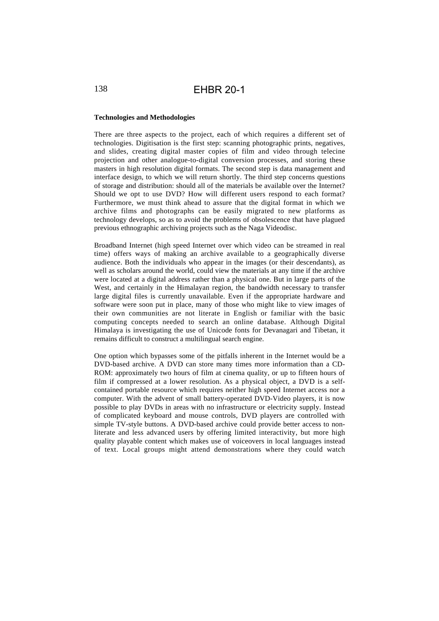# 138 EHBR 20-1

### **Technologies and Methodologies**

There are three aspects to the project, each of which requires a different set of technologies. Digitisation is the first step: scanning photographic prints, negatives, and slides, creating digital master copies of film and video through telecine projection and other analogue-to-digital conversion processes, and storing these masters in high resolution digital formats. The second step is data management and interface design, to which we will return shortly. The third step concerns questions of storage and distribution: should all of the materials be available over the Internet? Should we opt to use DVD? How will different users respond to each format? Furthermore, we must think ahead to assure that the digital format in which we archive films and photographs can be easily migrated to new platforms as technology develops, so as to avoid the problems of obsolescence that have plagued previous ethnographic archiving projects such as the Naga Videodisc.

Broadband Internet (high speed Internet over which video can be streamed in real time) offers ways of making an archive available to a geographically diverse audience. Both the individuals who appear in the images (or their descendants), as well as scholars around the world, could view the materials at any time if the archive were located at a digital address rather than a physical one. But in large parts of the West, and certainly in the Himalayan region, the bandwidth necessary to transfer large digital files is currently unavailable. Even if the appropriate hardware and software were soon put in place, many of those who might like to view images of their own communities are not literate in English or familiar with the basic computing concepts needed to search an online database. Although Digital Himalaya is investigating the use of Unicode fonts for Devanagari and Tibetan, it remains difficult to construct a multilingual search engine.

One option which bypasses some of the pitfalls inherent in the Internet would be a DVD-based archive. A DVD can store many times more information than a CD-ROM: approximately two hours of film at cinema quality, or up to fifteen hours of film if compressed at a lower resolution. As a physical object, a DVD is a selfcontained portable resource which requires neither high speed Internet access nor a computer. With the advent of small battery-operated DVD-Video players, it is now possible to play DVDs in areas with no infrastructure or electricity supply. Instead of complicated keyboard and mouse controls, DVD players are controlled with simple TV-style buttons. A DVD-based archive could provide better access to nonliterate and less advanced users by offering limited interactivity, but more high quality playable content which makes use of voiceovers in local languages instead of text. Local groups might attend demonstrations where they could watch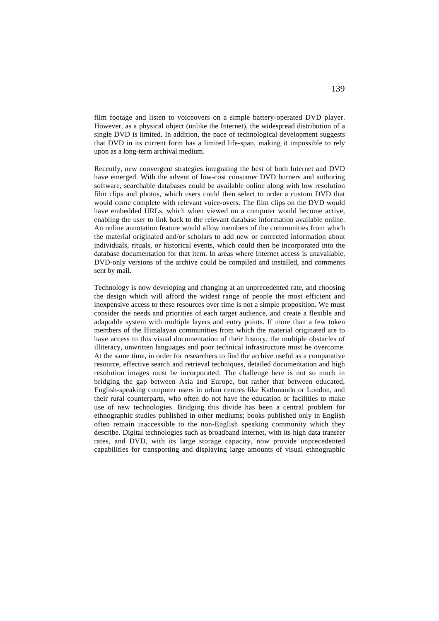film footage and listen to voiceovers on a simple battery-operated DVD player. However, as a physical object (unlike the Internet), the widespread distribution of a single DVD is limited. In addition, the pace of technological development suggests that DVD in its current form has a limited life-span, making it impossible to rely upon as a long-term archival medium.

Recently, new convergent strategies integrating the best of both Internet and DVD have emerged. With the advent of low-cost consumer DVD burners and authoring software, searchable databases could be available online along with low resolution film clips and photos, which users could then select to order a custom DVD that would come complete with relevant voice-overs. The film clips on the DVD would have embedded URLs, which when viewed on a computer would become active, enabling the user to link back to the relevant database information available online. An online annotation feature would allow members of the communities from which the material originated and/or scholars to add new or corrected information about individuals, rituals, or historical events, which could then be incorporated into the database documentation for that item. In areas where Internet access is unavailable, DVD-only versions of the archive could be compiled and installed, and comments sent by mail.

Technology is now developing and changing at an unprecedented rate, and choosing the design which will afford the widest range of people the most efficient and inexpensive access to these resources over time is not a simple proposition. We must consider the needs and priorities of each target audience, and create a flexible and adaptable system with multiple layers and entry points. If more than a few token members of the Himalayan communities from which the material originated are to have access to this visual documentation of their history, the multiple obstacles of illiteracy, unwritten languages and poor technical infrastructure must be overcome. At the same time, in order for researchers to find the archive useful as a comparative resource, effective search and retrieval techniques, detailed documentation and high resolution images must be incorporated. The challenge here is not so much in bridging the gap between Asia and Europe, but rather that between educated, English-speaking computer users in urban centres like Kathmandu or London, and their rural counterparts, who often do not have the education or facilities to make use of new technologies. Bridging this divide has been a central problem for ethnographic studies published in other mediums; books published only in English often remain inaccessible to the non-English speaking community which they describe. Digital technologies such as broadband Internet, with its high data transfer rates, and DVD, with its large storage capacity, now provide unprecedented capabilities for transporting and displaying large amounts of visual ethnographic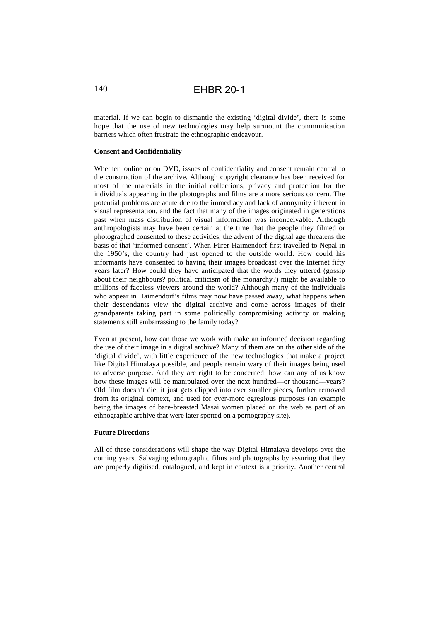## 140 EHBR 20-1

material. If we can begin to dismantle the existing 'digital divide', there is some hope that the use of new technologies may help surmount the communication barriers which often frustrate the ethnographic endeavour.

### **Consent and Confidentiality**

Whether online or on DVD, issues of confidentiality and consent remain central to the construction of the archive. Although copyright clearance has been received for most of the materials in the initial collections, privacy and protection for the individuals appearing in the photographs and films are a more serious concern. The potential problems are acute due to the immediacy and lack of anonymity inherent in visual representation, and the fact that many of the images originated in generations past when mass distribution of visual information was inconceivable. Although anthropologists may have been certain at the time that the people they filmed or photographed consented to these activities, the advent of the digital age threatens the basis of that 'informed consent'. When Fürer-Haimendorf first travelled to Nepal in the 1950's, the country had just opened to the outside world. How could his informants have consented to having their images broadcast over the Internet fifty years later? How could they have anticipated that the words they uttered (gossip about their neighbours? political criticism of the monarchy?) might be available to millions of faceless viewers around the world? Although many of the individuals who appear in Haimendorf's films may now have passed away, what happens when their descendants view the digital archive and come across images of their grandparents taking part in some politically compromising activity or making statements still embarrassing to the family today?

Even at present, how can those we work with make an informed decision regarding the use of their image in a digital archive? Many of them are on the other side of the 'digital divide', with little experience of the new technologies that make a project like Digital Himalaya possible, and people remain wary of their images being used to adverse purpose. And they are right to be concerned: how can any of us know how these images will be manipulated over the next hundred—or thousand—years? Old film doesn't die, it just gets clipped into ever smaller pieces, further removed from its original context, and used for ever-more egregious purposes (an example being the images of bare-breasted Masai women placed on the web as part of an ethnographic archive that were later spotted on a pornography site).

### **Future Directions**

All of these considerations will shape the way Digital Himalaya develops over the coming years. Salvaging ethnographic films and photographs by assuring that they are properly digitised, catalogued, and kept in context is a priority. Another central